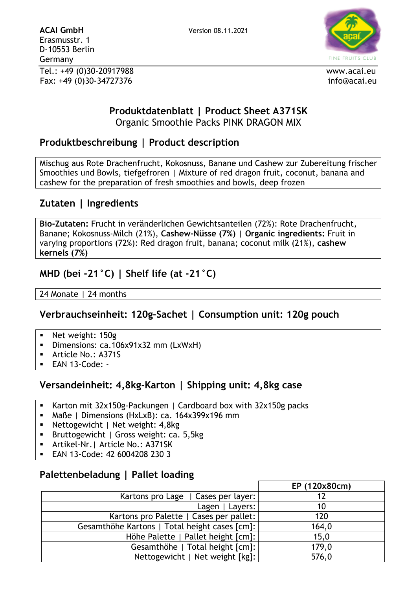

#### **Produktdatenblatt | Product Sheet A371SK** Organic Smoothie Packs PINK DRAGON MIX

### **Produktbeschreibung | Product description**

Mischug aus Rote Drachenfrucht, Kokosnuss, Banane und Cashew zur Zubereitung frischer Smoothies und Bowls, tiefgefroren | Mixture of red dragon fruit, coconut, banana and cashew for the preparation of fresh smoothies and bowls, deep frozen

### **Zutaten | Ingredients**

**Bio-Zutaten:** Frucht in veränderlichen Gewichtsanteilen (72%): Rote Drachenfrucht, Banane; Kokosnuss-Milch (21%), **Cashew-Nüsse (7%)** | **Organic ingredients:** Fruit in varying proportions (72%): Red dragon fruit, banana; coconut milk (21%), **cashew kernels (7%)**

### **MHD (bei -21°C) | Shelf life (at -21°C)**

24 Monate | 24 months

#### **Verbrauchseinheit: 120g-Sachet | Consumption unit: 120g pouch**

- Net weight: 150g
- **•** Dimensions: ca.106x91x32 mm (LxWxH)
- Article No.: A371S
- $EAN 13$ -Code: -

#### **Versandeinheit: 4,8kg-Karton | Shipping unit: 4,8kg case**

- Karton mit 32x150g-Packungen | Cardboard box with 32x150g packs
- Maße | Dimensions (HxLxB): ca. 164x399x196 mm
- Nettogewicht | Net weight: 4,8kg
- **EXEC** Bruttogewicht | Gross weight: ca. 5,5kg
- **E** Artikel-Nr. | Article No.: A371SK
- EAN 13-Code: 42 6004208 230 3

#### **Palettenbeladung | Pallet loading**

|                                               | EP (120x80cm) |
|-----------------------------------------------|---------------|
| Kartons pro Lage   Cases per layer:           |               |
| Lagen   Layers:                               | 10            |
| Kartons pro Palette   Cases per pallet:       | 120           |
| Gesamthöhe Kartons   Total height cases [cm]: | 164,0         |
| Höhe Palette   Pallet height [cm]:            | 15,0          |
| Gesamthöhe   Total height [cm]:               | 179,0         |
| Nettogewicht   Net weight [kg]:               | 576,0         |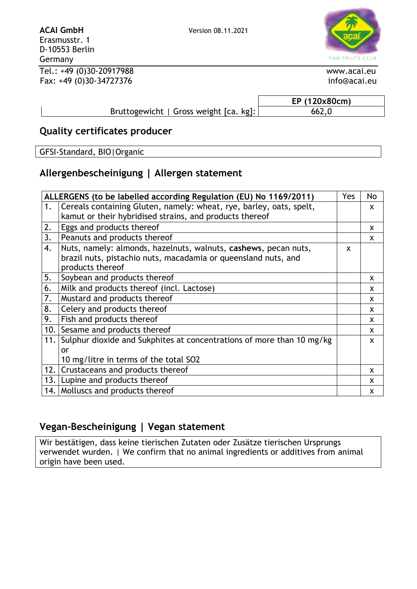FINE FRUITS CLUB

Tel.: +49 (0)30-20917988 www.acai.eu Fax: +49 (0)30-34727376 info@acai.eu

Erasmusstr. 1 D-10553 Berlin

Germany

**EP (120x80cm)** Bruttogewicht | Gross weight [ca. kg]: 662,0

# **Quality certificates producer**

GFSI-Standard, BIO|Organic

# **Allergenbescheinigung | Allergen statement**

| ALLERGENS (to be labelled according Regulation (EU) No 1169/2011) |                                                                       | Yes | No           |
|-------------------------------------------------------------------|-----------------------------------------------------------------------|-----|--------------|
| 1.                                                                | Cereals containing Gluten, namely: wheat, rye, barley, oats, spelt,   |     | X            |
|                                                                   | kamut or their hybridised strains, and products thereof               |     |              |
| 2.                                                                | Eggs and products thereof                                             |     | X            |
| 3.                                                                | Peanuts and products thereof                                          |     | X            |
| 4.                                                                | Nuts, namely: almonds, hazelnuts, walnuts, cashews, pecan nuts,       | X   |              |
|                                                                   | brazil nuts, pistachio nuts, macadamia or queensland nuts, and        |     |              |
|                                                                   | products thereof                                                      |     |              |
| 5.                                                                | Soybean and products thereof                                          |     | X            |
| 6.                                                                | Milk and products thereof (incl. Lactose)                             |     | X            |
| 7.                                                                | Mustard and products thereof                                          |     | X            |
| 8.                                                                | Celery and products thereof                                           |     | $\mathsf{x}$ |
| 9.                                                                | Fish and products thereof                                             |     | X            |
| 10.                                                               | Sesame and products thereof                                           |     | X            |
| 11.                                                               | Sulphur dioxide and Sukphites at concentrations of more than 10 mg/kg |     | X            |
|                                                                   | or                                                                    |     |              |
|                                                                   | 10 mg/litre in terms of the total SO2                                 |     |              |
| 12.1                                                              | Crustaceans and products thereof                                      |     | X            |
| 13.1                                                              | Lupine and products thereof                                           |     | X            |
| 14.1                                                              | Molluscs and products thereof                                         |     | X            |

## **Vegan-Bescheinigung | Vegan statement**

Wir bestätigen, dass keine tierischen Zutaten oder Zusätze tierischen Ursprungs verwendet wurden. | We confirm that no animal ingredients or additives from animal origin have been used.